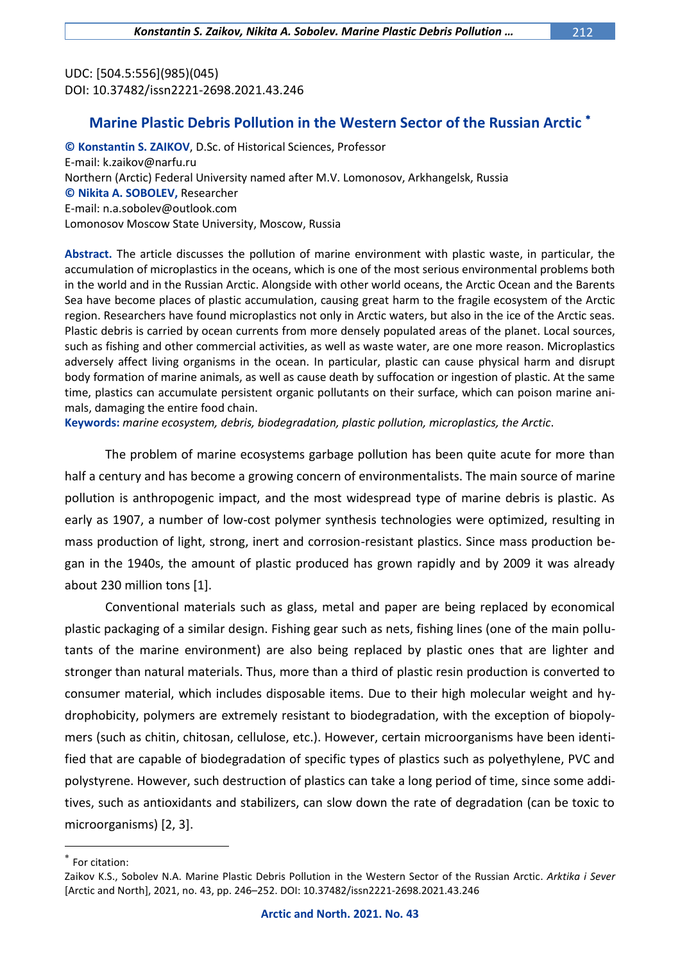UDC: [504.5:556](985)(045) DOI: 10.37482/issn2221-2698.2021.43.246

## **Marine Plastic Debris Pollution in the Western Sector of the Russian Arctic**

**© Konstantin S. ZAIKOV**, D.Sc. of Historical Sciences, Professor E-mail: k.zaikov@narfu.ru Northern (Arctic) Federal University named after M.V. Lomonosov, Arkhangelsk, Russia **© Nikita A. SOBOLEV,** Researcher E-mail: n.a.sobolev@outlook.com Lomonosov Moscow State University, Moscow, Russia

**Abstract.** The article discusses the pollution of marine environment with plastic waste, in particular, the accumulation of microplastics in the oceans, which is one of the most serious environmental problems both in the world and in the Russian Arctic. Alongside with other world oceans, the Arctic Ocean and the Barents Sea have become places of plastic accumulation, causing great harm to the fragile ecosystem of the Arctic region. Researchers have found microplastics not only in Arctic waters, but also in the ice of the Arctic seas. Plastic debris is carried by ocean currents from more densely populated areas of the planet. Local sources, such as fishing and other commercial activities, as well as waste water, are one more reason. Microplastics adversely affect living organisms in the ocean. In particular, plastic can cause physical harm and disrupt body formation of marine animals, as well as cause death by suffocation or ingestion of plastic. At the same time, plastics can accumulate persistent organic pollutants on their surface, which can poison marine animals, damaging the entire food chain.

**Keywords:** *marine ecosystem, debris, biodegradation, plastic pollution, microplastics, the Arctic*.

The problem of marine ecosystems garbage pollution has been quite acute for more than half a century and has become a growing concern of environmentalists. The main source of marine pollution is anthropogenic impact, and the most widespread type of marine debris is plastic. As early as 1907, a number of low-cost polymer synthesis technologies were optimized, resulting in mass production of light, strong, inert and corrosion-resistant plastics. Since mass production began in the 1940s, the amount of plastic produced has grown rapidly and by 2009 it was already about 230 million tons [1].

Conventional materials such as glass, metal and paper are being replaced by economical plastic packaging of a similar design. Fishing gear such as nets, fishing lines (one of the main pollutants of the marine environment) are also being replaced by plastic ones that are lighter and stronger than natural materials. Thus, more than a third of plastic resin production is converted to consumer material, which includes disposable items. Due to their high molecular weight and hydrophobicity, polymers are extremely resistant to biodegradation, with the exception of biopolymers (such as chitin, chitosan, cellulose, etc.). However, certain microorganisms have been identified that are capable of biodegradation of specific types of plastics such as polyethylene, PVC and polystyrene. However, such destruction of plastics can take a long period of time, since some additives, such as antioxidants and stabilizers, can slow down the rate of degradation (can be toxic to microorganisms) [2, 3].

 $\overline{a}$ 

 $*$  For citation:

Zaikov K.S., Sobolev N.A. Marine Plastic Debris Pollution in the Western Sector of the Russian Arctic. *Arktika i Sever* [Arctic and North], 2021, no. 43, pp. 246–252. DOI: 10.37482/issn2221-2698.2021.43.246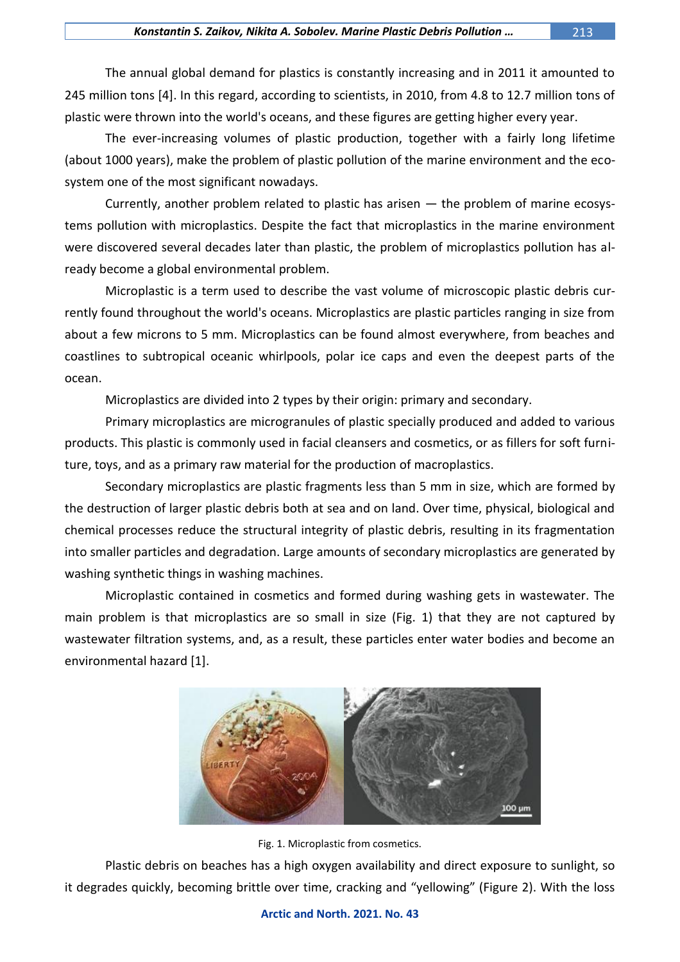The annual global demand for plastics is constantly increasing and in 2011 it amounted to 245 million tons [4]. In this regard, according to scientists, in 2010, from 4.8 to 12.7 million tons of plastic were thrown into the world's oceans, and these figures are getting higher every year.

The ever-increasing volumes of plastic production, together with a fairly long lifetime (about 1000 years), make the problem of plastic pollution of the marine environment and the ecosystem one of the most significant nowadays.

Currently, another problem related to plastic has arisen — the problem of marine ecosystems pollution with microplastics. Despite the fact that microplastics in the marine environment were discovered several decades later than plastic, the problem of microplastics pollution has already become a global environmental problem.

Microplastic is a term used to describe the vast volume of microscopic plastic debris currently found throughout the world's oceans. Microplastics are plastic particles ranging in size from about a few microns to 5 mm. Microplastics can be found almost everywhere, from beaches and coastlines to subtropical oceanic whirlpools, polar ice caps and even the deepest parts of the ocean.

Microplastics are divided into 2 types by their origin: primary and secondary.

Primary microplastics are microgranules of plastic specially produced and added to various products. This plastic is commonly used in facial cleansers and cosmetics, or as fillers for soft furniture, toys, and as a primary raw material for the production of macroplastics.

Secondary microplastics are plastic fragments less than 5 mm in size, which are formed by the destruction of larger plastic debris both at sea and on land. Over time, physical, biological and chemical processes reduce the structural integrity of plastic debris, resulting in its fragmentation into smaller particles and degradation. Large amounts of secondary microplastics are generated by washing synthetic things in washing machines.

Microplastic contained in cosmetics and formed during washing gets in wastewater. The main problem is that microplastics are so small in size (Fig. 1) that they are not captured by wastewater filtration systems, and, as a result, these particles enter water bodies and become an environmental hazard [1].



Fig. 1. Microplastic from cosmetics.

Plastic debris on beaches has a high oxygen availability and direct exposure to sunlight, so it degrades quickly, becoming brittle over time, cracking and "yellowing" (Figure 2). With the loss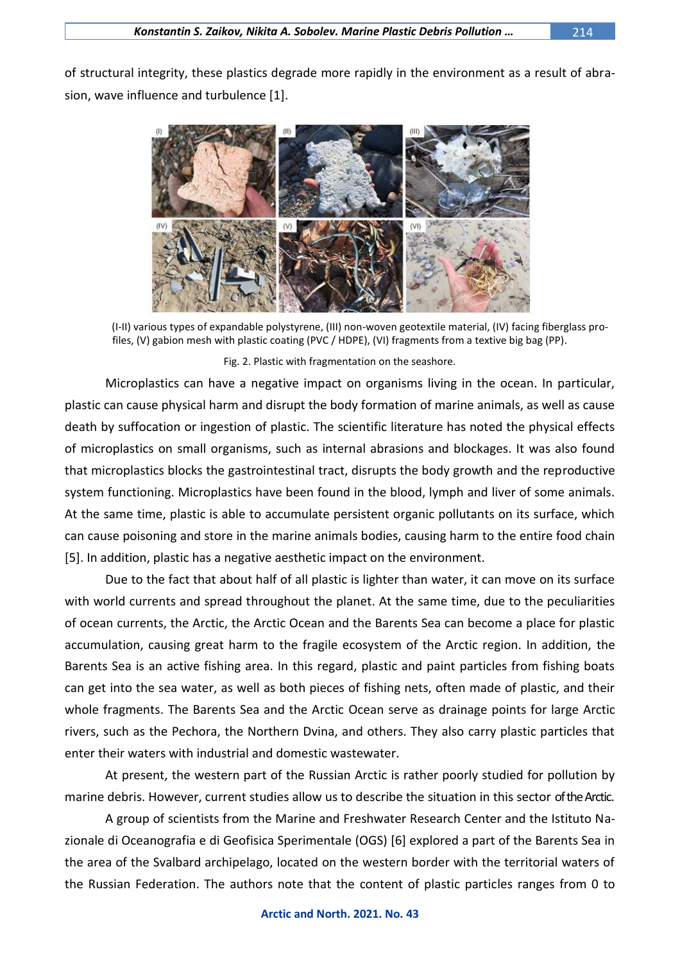of structural integrity, these plastics degrade more rapidly in the environment as a result of abrasion, wave influence and turbulence [1].



(I-II) various types of expandable polystyrene, (III) non-woven geotextile material, (IV) facing fiberglass profiles, (V) gabion mesh with plastic coating (PVC / HDPE), (VI) fragments from a textive big bag (PP).

Fig. 2. Plastic with fragmentation on the seashore.

Microplastics can have a negative impact on organisms living in the ocean. In particular, plastic can cause physical harm and disrupt the body formation of marine animals, as well as cause death by suffocation or ingestion of plastic. The scientific literature has noted the physical effects of microplastics on small organisms, such as internal abrasions and blockages. It was also found that microplastics blocks the gastrointestinal tract, disrupts the body growth and the reproductive system functioning. Microplastics have been found in the blood, lymph and liver of some animals. At the same time, plastic is able to accumulate persistent organic pollutants on its surface, which can cause poisoning and store in the marine animals bodies, causing harm to the entire food chain [5]. In addition, plastic has a negative aesthetic impact on the environment.

Due to the fact that about half of all plastic is lighter than water, it can move on its surface with world currents and spread throughout the planet. At the same time, due to the peculiarities of ocean currents, the Arctic, the Arctic Ocean and the Barents Sea can become a place for plastic accumulation, causing great harm to the fragile ecosystem of the Arctic region. In addition, the Barents Sea is an active fishing area. In this regard, plastic and paint particles from fishing boats can get into the sea water, as well as both pieces of fishing nets, often made of plastic, and their whole fragments. The Barents Sea and the Arctic Ocean serve as drainage points for large Arctic rivers, such as the Pechora, the Northern Dvina, and others. They also carry plastic particles that enter their waters with industrial and domestic wastewater.

At present, the western part of the Russian Arctic is rather poorly studied for pollution by marine debris. However, current studies allow us to describe the situation in this sector of the Arctic.

A group of scientists from the Marine and Freshwater Research Center and the Istituto Nazionale di Oceanografia e di Geofisica Sperimentale (OGS) [6] explored a part of the Barents Sea in the area of the Svalbard archipelago, located on the western border with the territorial waters of the Russian Federation. The authors note that the content of plastic particles ranges from 0 to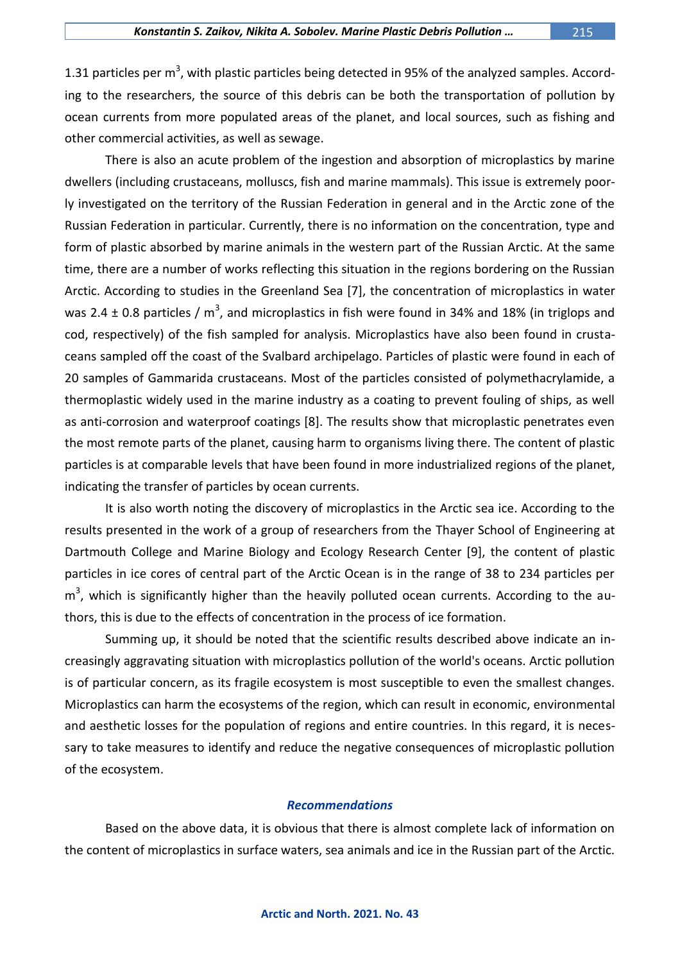other commercial activities, as well as sewage.

1.31 particles per m<sup>3</sup>, with plastic particles being detected in 95% of the analyzed samples. According to the researchers, the source of this debris can be both the transportation of pollution by ocean currents from more populated areas of the planet, and local sources, such as fishing and

There is also an acute problem of the ingestion and absorption of microplastics by marine dwellers (including crustaceans, molluscs, fish and marine mammals). This issue is extremely poorly investigated on the territory of the Russian Federation in general and in the Arctic zone of the Russian Federation in particular. Currently, there is no information on the concentration, type and form of plastic absorbed by marine animals in the western part of the Russian Arctic. At the same time, there are a number of works reflecting this situation in the regions bordering on the Russian Arctic. According to studies in the Greenland Sea [7], the concentration of microplastics in water was 2.4  $\pm$  0.8 particles / m<sup>3</sup>, and microplastics in fish were found in 34% and 18% (in triglops and cod, respectively) of the fish sampled for analysis. Microplastics have also been found in crustaceans sampled off the coast of the Svalbard archipelago. Particles of plastic were found in each of 20 samples of Gammarida crustaceans. Most of the particles consisted of polymethacrylamide, a thermoplastic widely used in the marine industry as a coating to prevent fouling of ships, as well as anti-corrosion and waterproof coatings [8]. The results show that microplastic penetrates even the most remote parts of the planet, causing harm to organisms living there. The content of plastic particles is at comparable levels that have been found in more industrialized regions of the planet, indicating the transfer of particles by ocean currents.

It is also worth noting the discovery of microplastics in the Arctic sea ice. According to the results presented in the work of a group of researchers from the Thayer School of Engineering at Dartmouth College and Marine Biology and Ecology Research Center [9], the content of plastic particles in ice cores of central part of the Arctic Ocean is in the range of 38 to 234 particles per m<sup>3</sup>, which is significantly higher than the heavily polluted ocean currents. According to the authors, this is due to the effects of concentration in the process of ice formation.

Summing up, it should be noted that the scientific results described above indicate an increasingly aggravating situation with microplastics pollution of the world's oceans. Arctic pollution is of particular concern, as its fragile ecosystem is most susceptible to even the smallest changes. Microplastics can harm the ecosystems of the region, which can result in economic, environmental and aesthetic losses for the population of regions and entire countries. In this regard, it is necessary to take measures to identify and reduce the negative consequences of microplastic pollution of the ecosystem.

## *Recommendations*

Based on the above data, it is obvious that there is almost complete lack of information on the content of microplastics in surface waters, sea animals and ice in the Russian part of the Arctic.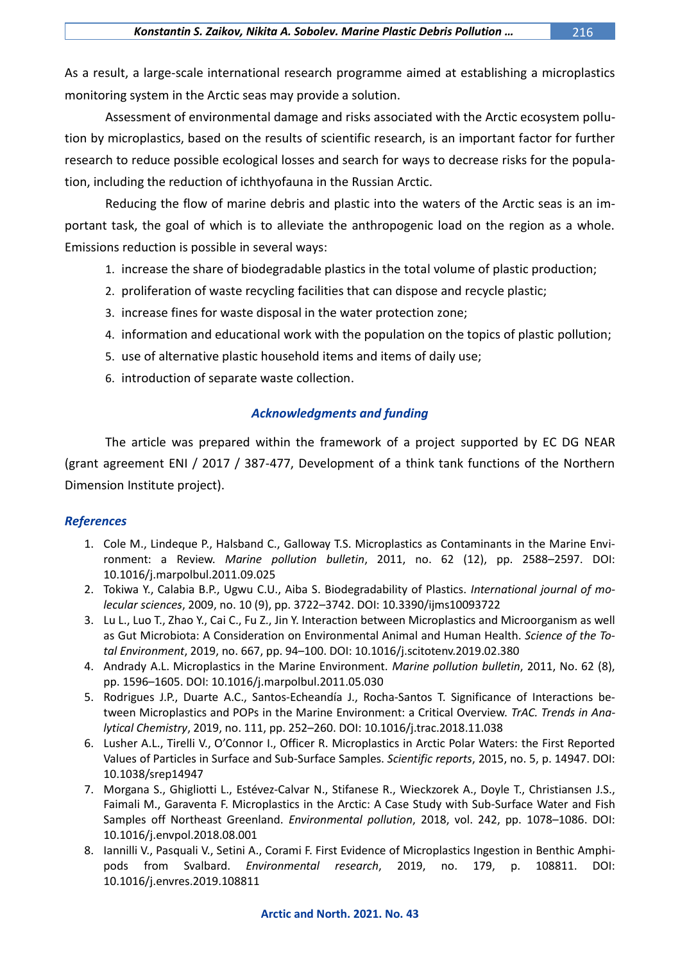As a result, a large-scale international research programme aimed at establishing a microplastics monitoring system in the Arctic seas may provide a solution.

Assessment of environmental damage and risks associated with the Arctic ecosystem pollution by microplastics, based on the results of scientific research, is an important factor for further research to reduce possible ecological losses and search for ways to decrease risks for the population, including the reduction of ichthyofauna in the Russian Arctic.

Reducing the flow of marine debris and plastic into the waters of the Arctic seas is an important task, the goal of which is to alleviate the anthropogenic load on the region as a whole. Emissions reduction is possible in several ways:

- 1. increase the share of biodegradable plastics in the total volume of plastic production;
- 2. proliferation of waste recycling facilities that can dispose and recycle plastic;
- 3. increase fines for waste disposal in the water protection zone;
- 4. information and educational work with the population on the topics of plastic pollution;
- 5. use of alternative plastic household items and items of daily use;
- 6. introduction of separate waste collection.

## *Acknowledgments and funding*

The article was prepared within the framework of a project supported by EC DG NEAR (grant agreement ENI / 2017 / 387-477, Development of a think tank functions of the Northern Dimension Institute project).

## *References*

- 1. Cole M., Lindeque P., Halsband C., Galloway T.S. Microplastics as Contaminants in the Marine Environment: a Review. *Marine pollution bulletin*, 2011, no. 62 (12), pp. 2588–2597. DOI: 10.1016/j.marpolbul.2011.09.025
- 2. Tokiwa Y., Calabia B.P., Ugwu C.U., Aiba S. Biodegradability of Plastics. *International journal of molecular sciences*, 2009, no. 10 (9), pp. 3722–3742. DOI: 10.3390/ijms10093722
- 3. Lu L., Luo T., Zhao Y., Cai C., Fu Z., Jin Y. Interaction between Microplastics and Microorganism as well as Gut Microbiota: A Consideration on Environmental Animal and Human Health. *Science of the Total Environment*, 2019, no. 667, pp. 94–100. DOI: 10.1016/j.scitotenv.2019.02.380
- 4. Andrady A.L. Microplastics in the Marine Environment. *Marine pollution bulletin*, 2011, No. 62 (8), pp. 1596–1605. DOI: 10.1016/j.marpolbul.2011.05.030
- 5. Rodrigues J.P., Duarte A.C., Santos-Echeandía J., Rocha-Santos T. Significance of Interactions between Microplastics and POPs in the Marine Environment: a Critical Overview. *TrAC. Trends in Analytical Chemistry*, 2019, no. 111, pp. 252–260. DOI: 10.1016/j.trac.2018.11.038
- 6. Lusher A.L., Tirelli V., O'Connor I., Officer R. Microplastics in Arctic Polar Waters: the First Reported Values of Particles in Surface and Sub-Surface Samples. *Scientific reports*, 2015, no. 5, p. 14947. DOI: 10.1038/srep14947
- 7. Morgana S., Ghigliotti L., Estévez-Calvar N., Stifanese R., Wieckzorek A., Doyle T., Christiansen J.S., Faimali M., Garaventa F. Microplastics in the Arctic: A Case Study with Sub-Surface Water and Fish Samples off Northeast Greenland. *Environmental pollution*, 2018, vol. 242, pp. 1078–1086. DOI: 10.1016/j.envpol.2018.08.001
- 8. Iannilli V., Pasquali V., Setini A., Corami F. First Evidence of Microplastics Ingestion in Benthic Amphipods from Svalbard. *Environmental research*, 2019, no. 179, p. 108811. DOI: 10.1016/j.envres.2019.108811